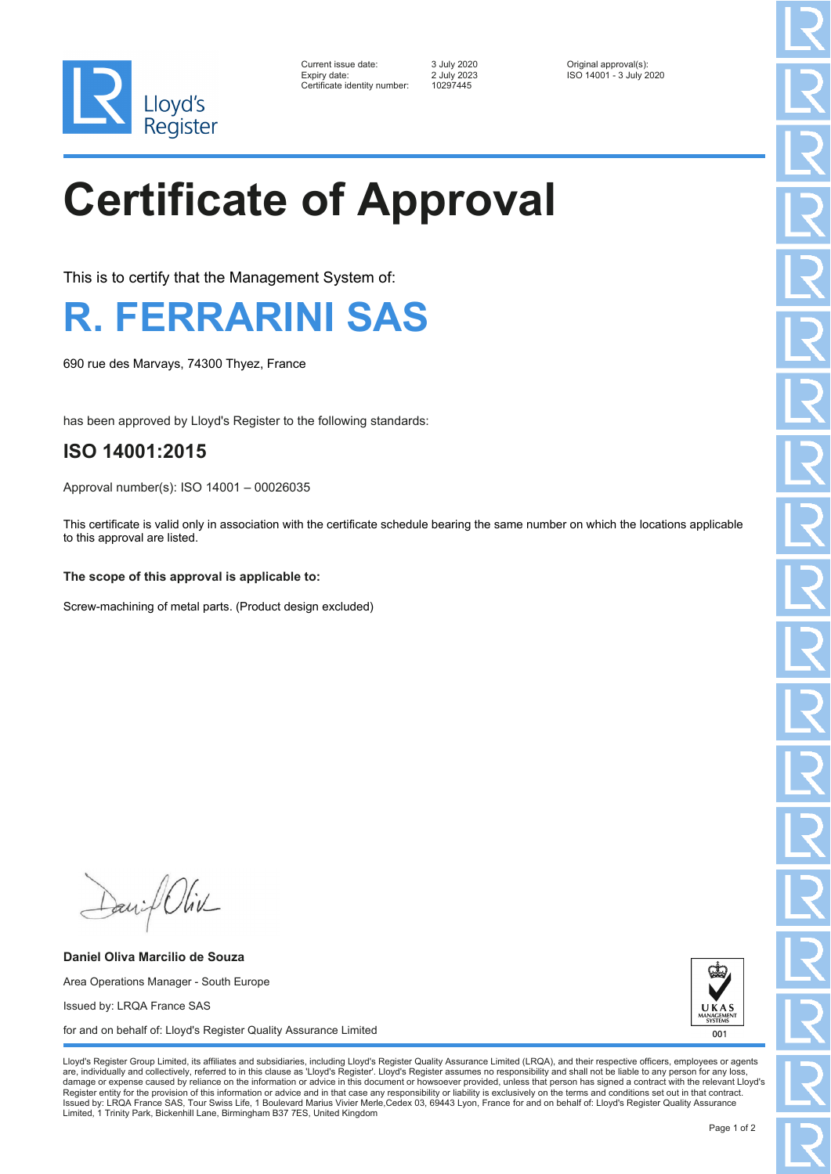

| Current issue date:          | 3 July 2020 | Original approval(s):   |
|------------------------------|-------------|-------------------------|
| Expiry date:                 | 2 July 2023 | ISO 14001 - 3 July 2020 |
| Certificate identity number: | 10297445    |                         |

Certificate identity number: 10297445

## **Certificate of Approval**

This is to certify that the Management System of:



690 rue des Marvays, 74300 Thyez, France

has been approved by Lloyd's Register to the following standards:

## **ISO 14001:2015**

Approval number(s): ISO 14001 – 00026035

This certificate is valid only in association with the certificate schedule bearing the same number on which the locations applicable to this approval are listed.

## **The scope of this approval is applicable to:**

Screw-machining of metal parts. (Product design excluded)

Daniel Oliv

**Daniel Oliva Marcilio de Souza** Area Operations Manager - South Europe Issued by: LRQA France SAS for and on behalf of: Lloyd's Register Quality Assurance Limited



Lloyd's Register Group Limited, its affiliates and subsidiaries, including Lloyd's Register Quality Assurance Limited (LRQA), and their respective officers, employees or agents are, individually and collectively, referred to in this clause as 'Lloyd's Register'. Lloyd's Register assumes no responsibility and shall not be liable to any person for any los damage or expense caused by reliance on the information or advice in this document or howsoever provided, unless that person has signed a contract with the relevant Lloyd's<br>Register entity for the provision of this informa Issued by: LRQA France SAS, Tour Swiss Life, 1 Boulevard Marius Vivier Merle,Cedex 03, 69443 Lyon, France for and on behalf of: Lloyd's Register Quality Assurance Limited, 1 Trinity Park, Bickenhill Lane, Birmingham B37 7ES, United Kingdom